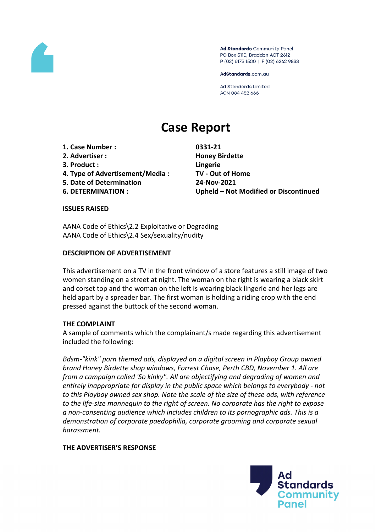

Ad Standards Community Panel PO Box 5110, Braddon ACT 2612 P (02) 6173 1500 | F (02) 6262 9833

AdStandards.com.au

**Ad Standards Limited** ACN 084 452 666

# **Case Report**

- **1. Case Number : 0331-21**
- **2. Advertiser : Honey Birdette**
- **3. Product : Lingerie**
- **4. Type of Advertisement/Media : TV - Out of Home**
- **5. Date of Determination 24-Nov-2021**
- 

**6. DETERMINATION : Upheld – Not Modified or Discontinued**

## **ISSUES RAISED**

AANA Code of Ethics\2.2 Exploitative or Degrading AANA Code of Ethics\2.4 Sex/sexuality/nudity

## **DESCRIPTION OF ADVERTISEMENT**

This advertisement on a TV in the front window of a store features a still image of two women standing on a street at night. The woman on the right is wearing a black skirt and corset top and the woman on the left is wearing black lingerie and her legs are held apart by a spreader bar. The first woman is holding a riding crop with the end pressed against the buttock of the second woman.

## **THE COMPLAINT**

A sample of comments which the complainant/s made regarding this advertisement included the following:

*Bdsm-"kink" porn themed ads, displayed on a digital screen in Playboy Group owned brand Honey Birdette shop windows, Forrest Chase, Perth CBD, November 1. All are from a campaign called 'So kinky". All are objectifying and degrading of women and entirely inappropriate for display in the public space which belongs to everybody - not to this Playboy owned sex shop. Note the scale of the size of these ads, with reference to the life-size mannequin to the right of screen. No corporate has the right to expose a non-consenting audience which includes children to its pornographic ads. This is a demonstration of corporate paedophilia, corporate grooming and corporate sexual harassment.*

## **THE ADVERTISER'S RESPONSE**

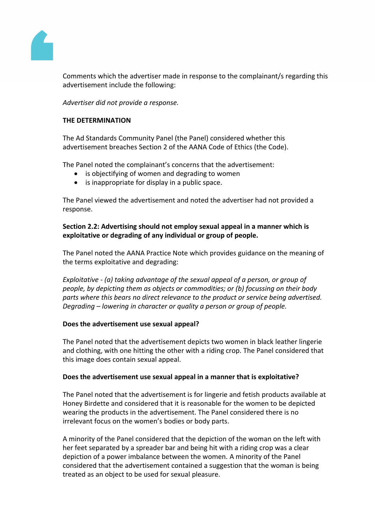

Comments which the advertiser made in response to the complainant/s regarding this advertisement include the following:

*Advertiser did not provide a response.*

## **THE DETERMINATION**

The Ad Standards Community Panel (the Panel) considered whether this advertisement breaches Section 2 of the AANA Code of Ethics (the Code).

The Panel noted the complainant's concerns that the advertisement:

- is objectifying of women and degrading to women
- is inappropriate for display in a public space.

The Panel viewed the advertisement and noted the advertiser had not provided a response.

## **Section 2.2: Advertising should not employ sexual appeal in a manner which is exploitative or degrading of any individual or group of people.**

The Panel noted the AANA Practice Note which provides guidance on the meaning of the terms exploitative and degrading:

*Exploitative - (a) taking advantage of the sexual appeal of a person, or group of people, by depicting them as objects or commodities; or (b) focussing on their body parts where this bears no direct relevance to the product or service being advertised. Degrading – lowering in character or quality a person or group of people.*

## **Does the advertisement use sexual appeal?**

The Panel noted that the advertisement depicts two women in black leather lingerie and clothing, with one hitting the other with a riding crop. The Panel considered that this image does contain sexual appeal.

## **Does the advertisement use sexual appeal in a manner that is exploitative?**

The Panel noted that the advertisement is for lingerie and fetish products available at Honey Birdette and considered that it is reasonable for the women to be depicted wearing the products in the advertisement. The Panel considered there is no irrelevant focus on the women's bodies or body parts.

A minority of the Panel considered that the depiction of the woman on the left with her feet separated by a spreader bar and being hit with a riding crop was a clear depiction of a power imbalance between the women. A minority of the Panel considered that the advertisement contained a suggestion that the woman is being treated as an object to be used for sexual pleasure.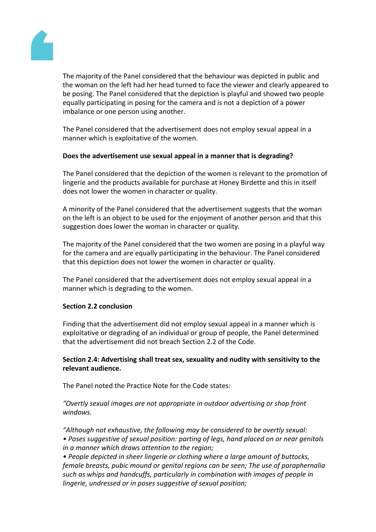

The majority of the Panel considered that the behaviour was depicted in public and the woman on the left had her head turned to face the viewer and clearly appeared to be posing. The Panel considered that the depiction is playful and showed two people equally participating in posing for the camera and is not a depiction of a power imbalance or one person using another.

The Panel considered that the advertisement does not employ sexual appeal in a manner which is exploitative of the women.

## **Does the advertisement use sexual appeal in a manner that is degrading?**

The Panel considered that the depiction of the women is relevant to the promotion of lingerie and the products available for purchase at Honey Birdette and this in itself does not lower the women in character or quality.

A minority of the Panel considered that the advertisement suggests that the woman on the left is an object to be used for the enjoyment of another person and that this suggestion does lower the woman in character or quality.

The majority of the Panel considered that the two women are posing in a playful way for the camera and are equally participating in the behaviour. The Panel considered that this depiction does not lower the women in character or quality.

The Panel considered that the advertisement does not employ sexual appeal in a manner which is degrading to the women.

## **Section 2.2 conclusion**

Finding that the advertisement did not employ sexual appeal in a manner which is exploitative or degrading of an individual or group of people, the Panel determined that the advertisement did not breach Section 2.2 of the Code.

## **Section 2.4: Advertising shall treat sex, sexuality and nudity with sensitivity to the relevant audience.**

The Panel noted the Practice Note for the Code states:

*"Overtly sexual images are not appropriate in outdoor advertising or shop front windows.*

*"Although not exhaustive, the following may be considered to be overtly sexual:*

*• Poses suggestive of sexual position: parting of legs, hand placed on or near genitals in a manner which draws attention to the region;*

*• People depicted in sheer lingerie or clothing where a large amount of buttocks, female breasts, pubic mound or genital regions can be seen; The use of paraphernalia such as whips and handcuffs, particularly in combination with images of people in lingerie, undressed or in poses suggestive of sexual position;*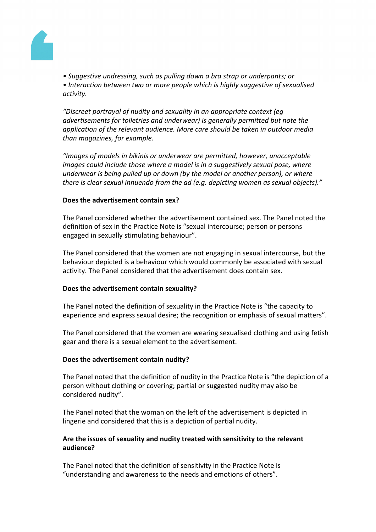

*• Suggestive undressing, such as pulling down a bra strap or underpants; or*

*• Interaction between two or more people which is highly suggestive of sexualised activity.*

*"Discreet portrayal of nudity and sexuality in an appropriate context (eg advertisements for toiletries and underwear) is generally permitted but note the application of the relevant audience. More care should be taken in outdoor media than magazines, for example.*

*"Images of models in bikinis or underwear are permitted, however, unacceptable images could include those where a model is in a suggestively sexual pose, where underwear is being pulled up or down (by the model or another person), or where there is clear sexual innuendo from the ad (e.g. depicting women as sexual objects)."*

## **Does the advertisement contain sex?**

The Panel considered whether the advertisement contained sex. The Panel noted the definition of sex in the Practice Note is "sexual intercourse; person or persons engaged in sexually stimulating behaviour".

The Panel considered that the women are not engaging in sexual intercourse, but the behaviour depicted is a behaviour which would commonly be associated with sexual activity. The Panel considered that the advertisement does contain sex.

## **Does the advertisement contain sexuality?**

The Panel noted the definition of sexuality in the Practice Note is "the capacity to experience and express sexual desire; the recognition or emphasis of sexual matters".

The Panel considered that the women are wearing sexualised clothing and using fetish gear and there is a sexual element to the advertisement.

## **Does the advertisement contain nudity?**

The Panel noted that the definition of nudity in the Practice Note is "the depiction of a person without clothing or covering; partial or suggested nudity may also be considered nudity".

The Panel noted that the woman on the left of the advertisement is depicted in lingerie and considered that this is a depiction of partial nudity.

## **Are the issues of sexuality and nudity treated with sensitivity to the relevant audience?**

The Panel noted that the definition of sensitivity in the Practice Note is "understanding and awareness to the needs and emotions of others".